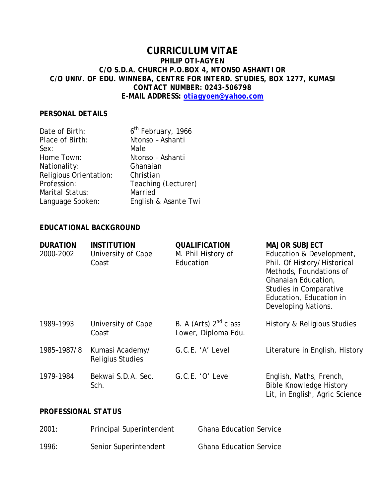# **CURRICULUM VITAE** *PHILIP OTI-AGYEN C/O S.D.A. CHURCH P.O.BOX 4, NTONSO ASHANTI OR C/O UNIV. OF EDU. WINNEBA, CENTRE FOR INTERD. STUDIES, BOX 1277, KUMASI CONTACT NUMBER: 0243-506798 E-MAIL ADDRESS: otiagyoen@yahoo.com*

#### *PERSONAL DETAILS*

| Date of Birth:         | 6 <sup>th</sup> February, 1966 |
|------------------------|--------------------------------|
| Place of Birth:        | Ntonso - Ashanti               |
| Sex:                   | Male                           |
| Home Town:             | Ntonso - Ashanti               |
| Nationality:           | Ghanaian                       |
| Religious Orientation: | Christian                      |
| Profession:            | Teaching (Lecturer)            |
| Marital Status:        | Married                        |
| Language Spoken:       | English & Asante Twi           |

## *EDUCATIONAL BACKGROUND*

| <b>DURATION</b><br>2000-2002 | <b>INSTITUTION</b><br>University of Cape<br>Coast | <b>QUALIFICATION</b><br>M. Phil History of<br>Education  | <b>MAJOR SUBJECT</b><br>Education & Development,<br>Phil. Of History/Historical<br>Methods, Foundations of<br>Ghanaian Education,<br><b>Studies in Comparative</b><br>Education, Education in<br>Developing Nations. |
|------------------------------|---------------------------------------------------|----------------------------------------------------------|----------------------------------------------------------------------------------------------------------------------------------------------------------------------------------------------------------------------|
| 1989-1993                    | University of Cape<br>Coast                       | B. A (Arts) 2 <sup>nd</sup> class<br>Lower, Diploma Edu. | History & Religious Studies                                                                                                                                                                                          |
| 1985-1987/8                  | Kumasi Academy/<br><b>Religius Studies</b>        | G.C.E. 'A' Level                                         | Literature in English, History                                                                                                                                                                                       |
| 1979-1984                    | Bekwai S.D.A. Sec.<br>Sch.                        | G.C.E. 'O' Level                                         | English, Maths, French,<br><b>Bible Knowledge History</b><br>Lit, in English, Agric Science                                                                                                                          |

## *PROFESSIONAL STATUS*

| 2001: | Principal Superintendent | <b>Ghana Education Service</b> |
|-------|--------------------------|--------------------------------|
| 1996: | Senior Superintendent    | <b>Ghana Education Service</b> |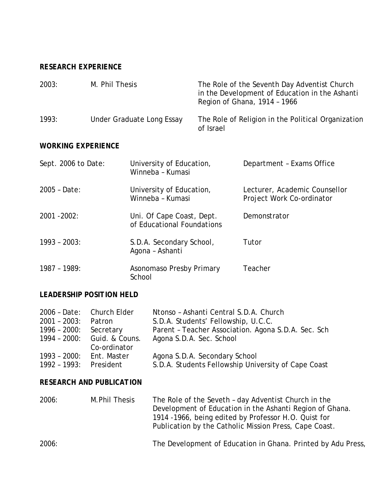# *RESEARCH EXPERIENCE*

| 2003: | M. Phil Thesis            | The Role of the Seventh Day Adventist Church<br>in the Development of Education in the Ashanti<br>Region of Ghana, 1914 - 1966 |
|-------|---------------------------|--------------------------------------------------------------------------------------------------------------------------------|
| 1993: | Under Graduate Long Essay | The Role of Religion in the Political Organization<br>of Israel                                                                |

## *WORKING EXPERIENCE*

| Sept. 2006 to Date: | University of Education,<br>Winneba - Kumasi            | Department - Exams Office                                  |
|---------------------|---------------------------------------------------------|------------------------------------------------------------|
| 2005 - Date:        | University of Education,<br>Winneba - Kumasi            | Lecturer, Academic Counsellor<br>Project Work Co-ordinator |
| $2001 - 2002$ :     | Uni. Of Cape Coast, Dept.<br>of Educational Foundations | Demonstrator                                               |
| $1993 - 2003$ :     | S.D.A. Secondary School,<br>Agona - Ashanti             | Tutor                                                      |
| 1987 - 1989:        | Asonomaso Presby Primary<br>School                      | Teacher                                                    |

# *LEADERSHIP POSITION HELD*

|                          | 2006 - Date: Church Elder   | Ntonso - Ashanti Central S.D.A. Church               |
|--------------------------|-----------------------------|------------------------------------------------------|
| $2001 - 2003$ :          | Patron                      | S.D.A. Students' Fellowship, U.C.C.                  |
| 1996 - 2000: Secretary   |                             | Parent - Teacher Association. Agona S.D.A. Sec. Sch. |
|                          | 1994 - 2000: Guid. & Couns. | Agona S.D.A. Sec. School                             |
|                          | Co-ordinator                |                                                      |
| 1993 - 2000: Ent. Master |                             | Agona S.D.A. Secondary School                        |
| 1992 - 1993: President   |                             | S.D.A. Students Fellowship University of Cape Coast  |

# *RESEARCH AND PUBLICATION*

| 2006: | M. Phil Thesis | The Role of the Seveth - day Adventist Church in the<br>Development of Education in the Ashanti Region of Ghana.<br>1914 -1966, being edited by Professor H.O. Quist for<br>Publication by the Catholic Mission Press, Cape Coast. |
|-------|----------------|------------------------------------------------------------------------------------------------------------------------------------------------------------------------------------------------------------------------------------|
| 2006: |                | The Development of Education in Ghana. Printed by Adu Press,                                                                                                                                                                       |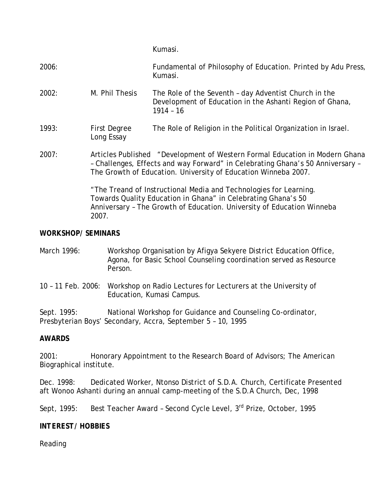Kumasi.

| 2006: |                                   | Fundamental of Philosophy of Education. Printed by Adu Press,<br>Kumasi.                                                                                                                                                        |
|-------|-----------------------------------|---------------------------------------------------------------------------------------------------------------------------------------------------------------------------------------------------------------------------------|
| 2002: | M. Phil Thesis                    | The Role of the Seventh - day Adventist Church in the<br>Development of Education in the Ashanti Region of Ghana,<br>$1914 - 16$                                                                                                |
| 1993: | <b>First Degree</b><br>Long Essay | The Role of Religion in the Political Organization in Israel.                                                                                                                                                                   |
| 2007: |                                   | Articles Published "Development of Western Formal Education in Modern Ghana<br>- Challenges, Effects and way Forward" in Celebrating Ghana's 50 Anniversary -<br>The Growth of Education. University of Education Winneba 2007. |
|       | 2007.                             | "The Treand of Instructional Media and Technologies for Learning.<br>Towards Quality Education in Ghana" in Celebrating Ghana's 50<br>Anniversary - The Growth of Education. University of Education Winneba                    |

## *WORKSHOP/ SEMINARS*

| March 1996: | Workshop Organisation by Afigya Sekyere District Education Office, |
|-------------|--------------------------------------------------------------------|
|             | Agona, for Basic School Counseling coordination served as Resource |
|             | Person.                                                            |

10 – 11 Feb. 2006: Workshop on Radio Lectures for Lecturers at the University of Education, Kumasi Campus.

Sept. 1995: National Workshop for Guidance and Counseling Co-ordinator, Presbyterian Boys' Secondary, Accra, September 5 – 10, 1995

#### *AWARDS*

2001: Honorary Appointment to the Research Board of Advisors; The American Biographical institute.

Dec. 1998: Dedicated Worker, Ntonso District of S.D.A. Church, Certificate Presented aft Wonoo Ashanti during an annual camp-meeting of the S.D.A Church, Dec, 1998

Sept, 1995: Best Teacher Award - Second Cycle Level, 3<sup>rd</sup> Prize, October, 1995

### *INTEREST/ HOBBIES*

Reading